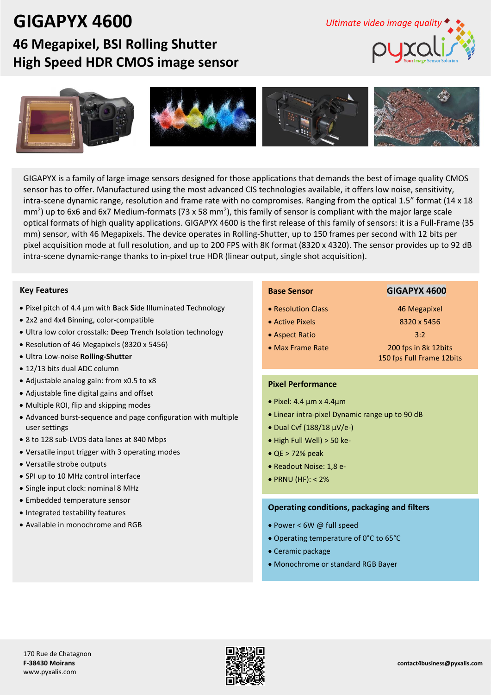## **GIGAPYX 4600**

## **46 Megapixel, BSI Rolling Shutter High Speed HDR CMOS image sensor**





GIGAPYX is a family of large image sensors designed for those applications that demands the best of image quality CMOS sensor has to offer. Manufactured using the most advanced CIS technologies available, it offers low noise, sensitivity, intra-scene dynamic range, resolution and frame rate with no compromises. Ranging from the optical 1.5" format (14 x 18 mm<sup>2</sup>) up to 6x6 and 6x7 Medium-formats (73 x 58 mm<sup>2</sup>), this family of sensor is compliant with the major large scale optical formats of high quality applications. GIGAPYX 4600 is the first release of this family of sensors: it is a Full-Frame (35 mm) sensor, with 46 Megapixels. The device operates in Rolling-Shutter, up to 150 frames per second with 12 bits per pixel acquisition mode at full resolution, and up to 200 FPS with 8K format (8320 x 4320). The sensor provides up to 92 dB intra-scene dynamic-range thanks to in-pixel true HDR (linear output, single shot acquisition).

#### **Key Features**

- Pixel pitch of 4.4 µm with **B**ack **S**ide **I**lluminated Technology
- 2x2 and 4x4 Binning, color-compatible
- Ultra low color crosstalk: **D**eep **T**rench **I**solation technology
- Resolution of 46 Megapixels (8320 x 5456)
- Ultra Low-noise **Rolling-Shutter**
- 12/13 bits dual ADC column
- Adjustable analog gain: from x0.5 to x8
- Adjustable fine digital gains and offset
- Multiple ROI, flip and skipping modes
- Advanced burst-sequence and page configuration with multiple user settings
- 8 to 128 sub-LVDS data lanes at 840 Mbps
- Versatile input trigger with 3 operating modes
- Versatile strobe outputs
- SPI up to 10 MHz control interface
- Single input clock: nominal 8 MHz
- Embedded temperature sensor
- Integrated testability features
- Available in monochrome and RGB

#### **Base Sensor GIGAPYX 4600**

- Resolution Class 46 Megapixel
- Active Pixels 8320 x 5456
- Aspect Ratio 3:2
- 

• Max Frame Rate 200 fps in 8k 12bits 150 fps Full Frame 12bits

#### **Pixel Performance**

- $\bullet$  Pixel: 4.4 µm x 4.4µm
- Linear intra-pixel Dynamic range up to 90 dB
- $\bullet$  Dual Cvf (188/18 µV/e-)
- $\bullet$  High Full Well) > 50 ke-
- $\bullet$  QE > 72% peak
- Readout Noise: 1,8 e-
- $\bullet$  PRNU (HF): < 2%

#### **Operating conditions, packaging and filters**

- Power < 6W @ full speed
- Operating temperature of 0°C to 65°C
- Ceramic package
- Monochrome or standard RGB Bayer